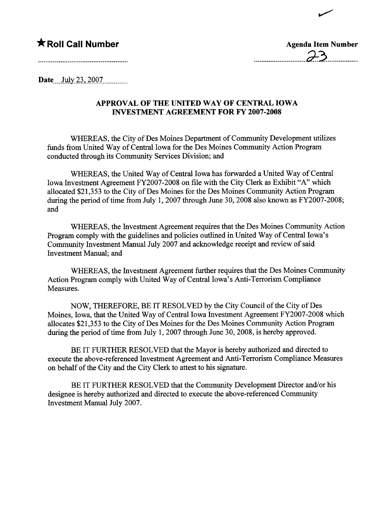## $\bigstar$  Roll Call Number

| <b>Agenda Item Number</b> |
|---------------------------|
| $\sim$ 2<br>$\sigma$      |

~

Date.....Jilly.i~\_.\_iQQ:z..............

## APPROVAL OF THE UNITED WAY OF CENTRAL IOWA INVESTMENT AGREEMENT FOR FY 2007-2008

WHREAS, the City of Des Moines Deparment of Communty Development utilizes fuds from United Way of Central Iowa for the Des Moines Communty Action Program conducted through its Community Services Division; and

WHEREAS, the United Way of Central Iowa has forwarded a United Way of Central Iowa Investment Agreement FY2007-2008 on file with the City Clerk as Exhibit "A" which allocated \$21,353 to the City of Des Moines for the Des Moines Community Action Program during the period of time from July 1, 2007 through June 30, 2008 also known as  $FY2007-2008$ ; and

WHEREAS, the Investment Agreement requires that the Des Moines Communty Action Program comply with the gudelines and policies outlined in United Way of Central Iowa's Communty Investment Manual July 2007 and acknowledge receipt and review of said Investment Manual; and

WHEREAS, the Investment Agreement further requires that the Des Moines Community Action Program comply with United Way of Central Iowa's Anti-Terrorism Compliance Measures.

NOW, THEREFORE, BE IT RESOLVED by the City Council of the City of Des Moines, Iowa, that the United Way of Central Iowa Investment Agreement FY2007-2008 which allocates \$21,353 to the City of Des Moines for the Des Moines Community Action Program during the period of time from July 1, 2007 through June 30, 2008, is hereby approved.

BE IT FURTHER RESOLVED that the Mayor is hereby authorized and directed to execute the above-referenced Investment Agreement and Anti-Terrorism Compliance Measures on behalf of the City and the City Clerk to attest to his signatue.

BE IT FURTHER RESOLVED that the Communty Development Director and/or his designee is hereby authorized and directed to execute the above-referenced Community Investment Manual July 2007.